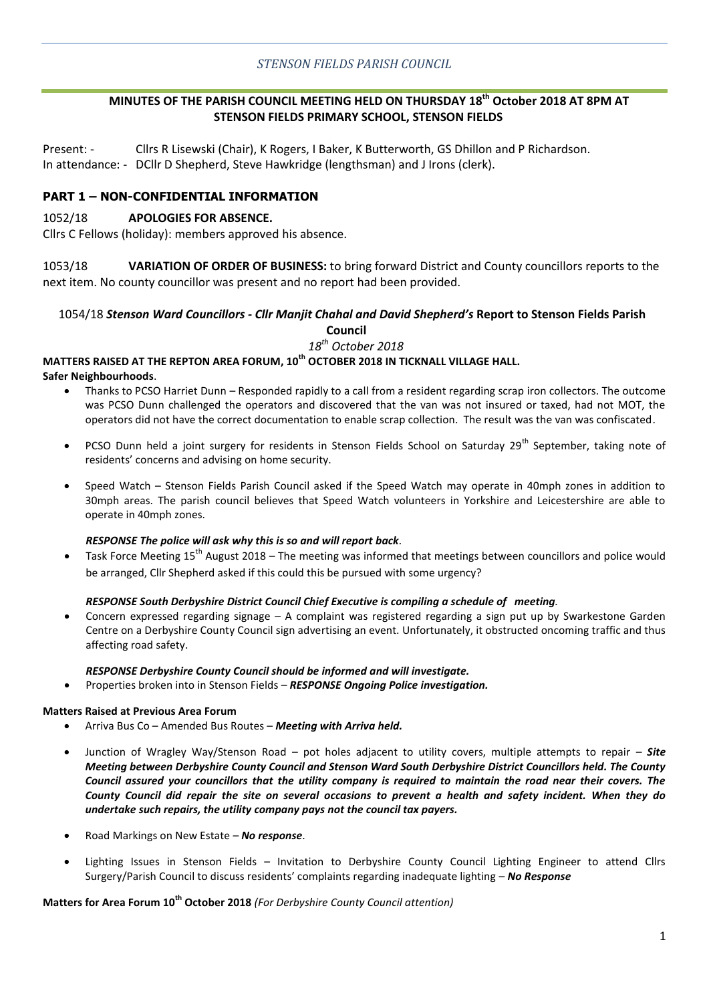# **MINUTES OF THE PARISH COUNCIL MEETING HELD ON THURSDAY 18th October 2018 AT 8PM AT STENSON FIELDS PRIMARY SCHOOL, STENSON FIELDS**

Present: - Cllrs R Lisewski (Chair), K Rogers, I Baker, K Butterworth, GS Dhillon and P Richardson. In attendance: - DCllr D Shepherd, Steve Hawkridge (lengthsman) and J Irons (clerk).

# **PART 1 – NON-CONFIDENTIAL INFORMATION**

#### 1052/18 **APOLOGIES FOR ABSENCE.**

Cllrs C Fellows (holiday): members approved his absence.

1053/18 **VARIATION OF ORDER OF BUSINESS:** to bring forward District and County councillors reports to the next item. No county councillor was present and no report had been provided.

# 1054/18 *Stenson Ward Councillors - Cllr Manjit Chahal and David Shepherd's* **Report to Stenson Fields Parish**

**Council** 

*18th October 2018*

# **MATTERS RAISED AT THE REPTON AREA FORUM, 10th OCTOBER 2018 IN TICKNALL VILLAGE HALL.**

#### **Safer Neighbourhoods**.

- Thanks to PCSO Harriet Dunn Responded rapidly to a call from a resident regarding scrap iron collectors. The outcome was PCSO Dunn challenged the operators and discovered that the van was not insured or taxed, had not MOT, the operators did not have the correct documentation to enable scrap collection. The result was the van was confiscated.
- PCSO Dunn held a joint surgery for residents in Stenson Fields School on Saturday 29<sup>th</sup> September, taking note of residents' concerns and advising on home security.
- Speed Watch Stenson Fields Parish Council asked if the Speed Watch may operate in 40mph zones in addition to 30mph areas. The parish council believes that Speed Watch volunteers in Yorkshire and Leicestershire are able to operate in 40mph zones.

#### *RESPONSE The police will ask why this is so and will report back.*

Task Force Meeting 15<sup>th</sup> August 2018 – The meeting was informed that meetings between councillors and police would be arranged, Cllr Shepherd asked if this could this be pursued with some urgency?

# *RESPONSE South Derbyshire District Council Chief Executive is compiling a schedule of meeting.*

 Concern expressed regarding signage – A complaint was registered regarding a sign put up by Swarkestone Garden Centre on a Derbyshire County Council sign advertising an event. Unfortunately, it obstructed oncoming traffic and thus affecting road safety.

#### *RESPONSE Derbyshire County Council should be informed and will investigate.*

Properties broken into in Stenson Fields – *RESPONSE Ongoing Police investigation.*

#### **Matters Raised at Previous Area Forum**

- Arriva Bus Co Amended Bus Routes *Meeting with Arriva held.*
- Junction of Wragley Way/Stenson Road pot holes adjacent to utility covers, multiple attempts to repair *Site Meeting between Derbyshire County Council and Stenson Ward South Derbyshire District Councillors held. The County Council assured your councillors that the utility company is required to maintain the road near their covers. The County Council did repair the site on several occasions to prevent a health and safety incident. When they do undertake such repairs, the utility company pays not the council tax payers.*
- Road Markings on New Estate *No response*.
- Lighting Issues in Stenson Fields Invitation to Derbyshire County Council Lighting Engineer to attend Cllrs Surgery/Parish Council to discuss residents' complaints regarding inadequate lighting – *No Response*

#### **Matters for Area Forum 10th October 2018** *(For Derbyshire County Council attention)*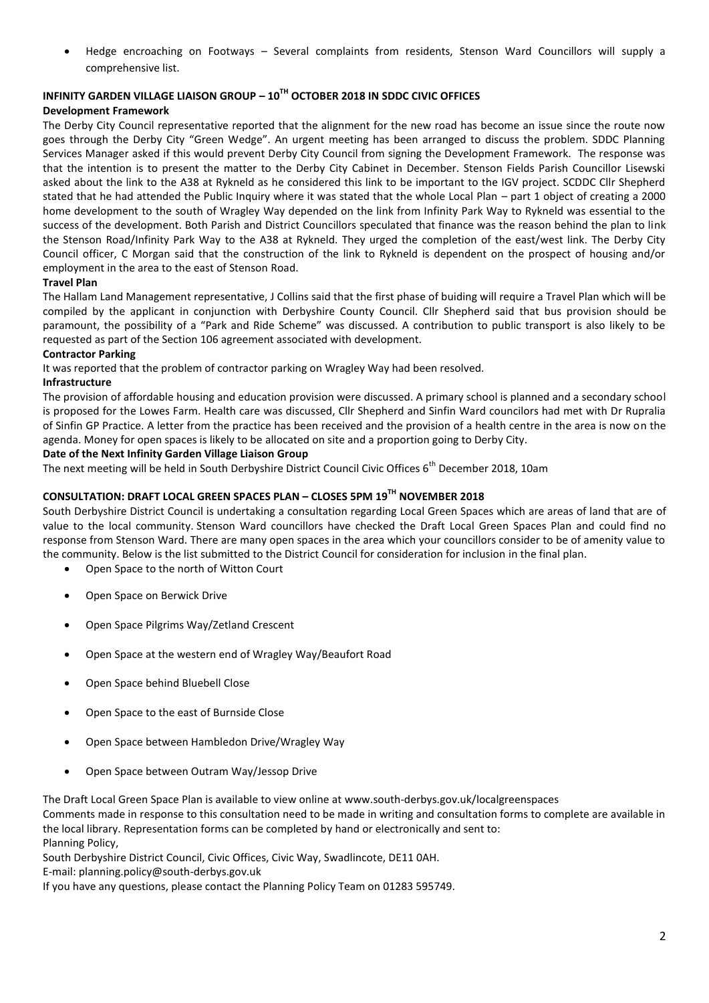Hedge encroaching on Footways – Several complaints from residents, Stenson Ward Councillors will supply a comprehensive list.

# **INFINITY GARDEN VILLAGE LIAISON GROUP – 10TH OCTOBER 2018 IN SDDC CIVIC OFFICES**

#### **Development Framework**

The Derby City Council representative reported that the alignment for the new road has become an issue since the route now goes through the Derby City "Green Wedge". An urgent meeting has been arranged to discuss the problem. SDDC Planning Services Manager asked if this would prevent Derby City Council from signing the Development Framework. The response was that the intention is to present the matter to the Derby City Cabinet in December. Stenson Fields Parish Councillor Lisewski asked about the link to the A38 at Rykneld as he considered this link to be important to the IGV project. SCDDC Cllr Shepherd stated that he had attended the Public Inquiry where it was stated that the whole Local Plan – part 1 object of creating a 2000 home development to the south of Wragley Way depended on the link from Infinity Park Way to Rykneld was essential to the success of the development. Both Parish and District Councillors speculated that finance was the reason behind the plan to link the Stenson Road/Infinity Park Way to the A38 at Rykneld. They urged the completion of the east/west link. The Derby City Council officer, C Morgan said that the construction of the link to Rykneld is dependent on the prospect of housing and/or employment in the area to the east of Stenson Road.

#### **Travel Plan**

The Hallam Land Management representative, J Collins said that the first phase of buiding will require a Travel Plan which will be compiled by the applicant in conjunction with Derbyshire County Council. Cllr Shepherd said that bus provision should be paramount, the possibility of a "Park and Ride Scheme" was discussed. A contribution to public transport is also likely to be requested as part of the Section 106 agreement associated with development.

#### **Contractor Parking**

It was reported that the problem of contractor parking on Wragley Way had been resolved.

#### **Infrastructure**

The provision of affordable housing and education provision were discussed. A primary school is planned and a secondary school is proposed for the Lowes Farm. Health care was discussed, Cllr Shepherd and Sinfin Ward councilors had met with Dr Rupralia of Sinfin GP Practice. A letter from the practice has been received and the provision of a health centre in the area is now on the agenda. Money for open spaces is likely to be allocated on site and a proportion going to Derby City.

#### **Date of the Next Infinity Garden Village Liaison Group**

The next meeting will be held in South Derbyshire District Council Civic Offices 6<sup>th</sup> December 2018. 10am

# **CONSULTATION: DRAFT LOCAL GREEN SPACES PLAN – CLOSES 5PM 19TH NOVEMBER 2018**

South Derbyshire District Council is undertaking a consultation regarding Local Green Spaces which are areas of land that are of value to the local community. Stenson Ward councillors have checked the Draft Local Green Spaces Plan and could find no response from Stenson Ward. There are many open spaces in the area which your councillors consider to be of amenity value to the community. Below is the list submitted to the District Council for consideration for inclusion in the final plan.

- Open Space to the north of Witton Court
- Open Space on Berwick Drive
- Open Space Pilgrims Way/Zetland Crescent
- Open Space at the western end of Wragley Way/Beaufort Road
- Open Space behind Bluebell Close
- Open Space to the east of Burnside Close
- Open Space between Hambledon Drive/Wragley Way
- Open Space between Outram Way/Jessop Drive

The Draft Local Green Space Plan is available to view online at www.south-derbys.gov.uk/localgreenspaces Comments made in response to this consultation need to be made in writing and consultation forms to complete are available in the local library. Representation forms can be completed by hand or electronically and sent to: Planning Policy,

South Derbyshire District Council, Civic Offices, Civic Way, Swadlincote, DE11 0AH.

E-mail: planning.policy@south-derbys.gov.uk

If you have any questions, please contact the Planning Policy Team on 01283 595749.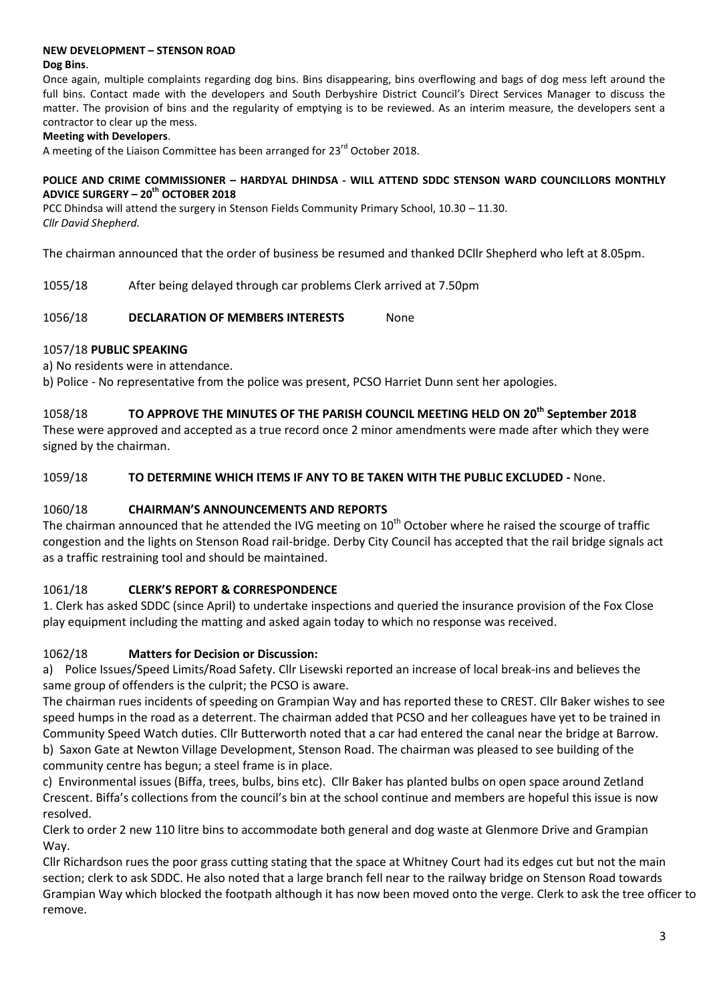# **NEW DEVELOPMENT – STENSON ROAD**

#### **Dog Bins**.

Once again, multiple complaints regarding dog bins. Bins disappearing, bins overflowing and bags of dog mess left around the full bins. Contact made with the developers and South Derbyshire District Council's Direct Services Manager to discuss the matter. The provision of bins and the regularity of emptying is to be reviewed. As an interim measure, the developers sent a contractor to clear up the mess.

# **Meeting with Developers**.

A meeting of the Liaison Committee has been arranged for 23<sup>rd</sup> October 2018.

#### **POLICE AND CRIME COMMISSIONER – HARDYAL DHINDSA - WILL ATTEND SDDC STENSON WARD COUNCILLORS MONTHLY ADVICE SURGERY – 20th OCTOBER 2018**

PCC Dhindsa will attend the surgery in Stenson Fields Community Primary School, 10.30 – 11.30. *Cllr David Shepherd.*

The chairman announced that the order of business be resumed and thanked DCllr Shepherd who left at 8.05pm.

1055/18 After being delayed through car problems Clerk arrived at 7.50pm

#### 1056/18 **DECLARATION OF MEMBERS INTERESTS** None

# 1057/18 **PUBLIC SPEAKING**

a) No residents were in attendance.

b) Police - No representative from the police was present, PCSO Harriet Dunn sent her apologies.

# 1058/18 **TO APPROVE THE MINUTES OF THE PARISH COUNCIL MEETING HELD ON 20th September 2018**

These were approved and accepted as a true record once 2 minor amendments were made after which they were signed by the chairman.

# 1059/18 **TO DETERMINE WHICH ITEMS IF ANY TO BE TAKEN WITH THE PUBLIC EXCLUDED -** None.

# 1060/18 **CHAIRMAN'S ANNOUNCEMENTS AND REPORTS**

The chairman announced that he attended the IVG meeting on 10<sup>th</sup> October where he raised the scourge of traffic congestion and the lights on Stenson Road rail-bridge. Derby City Council has accepted that the rail bridge signals act as a traffic restraining tool and should be maintained.

# 1061/18 **CLERK'S REPORT & CORRESPONDENCE**

1. Clerk has asked SDDC (since April) to undertake inspections and queried the insurance provision of the Fox Close play equipment including the matting and asked again today to which no response was received.

# 1062/18 **Matters for Decision or Discussion:**

a) Police Issues/Speed Limits/Road Safety. Cllr Lisewski reported an increase of local break-ins and believes the same group of offenders is the culprit; the PCSO is aware.

The chairman rues incidents of speeding on Grampian Way and has reported these to CREST. Cllr Baker wishes to see speed humps in the road as a deterrent. The chairman added that PCSO and her colleagues have yet to be trained in Community Speed Watch duties. Cllr Butterworth noted that a car had entered the canal near the bridge at Barrow. b) Saxon Gate at Newton Village Development, Stenson Road. The chairman was pleased to see building of the community centre has begun; a steel frame is in place.

c) Environmental issues (Biffa, trees, bulbs, bins etc). Cllr Baker has planted bulbs on open space around Zetland Crescent. Biffa's collections from the council's bin at the school continue and members are hopeful this issue is now resolved.

Clerk to order 2 new 110 litre bins to accommodate both general and dog waste at Glenmore Drive and Grampian Way.

Cllr Richardson rues the poor grass cutting stating that the space at Whitney Court had its edges cut but not the main section; clerk to ask SDDC. He also noted that a large branch fell near to the railway bridge on Stenson Road towards Grampian Way which blocked the footpath although it has now been moved onto the verge. Clerk to ask the tree officer to remove.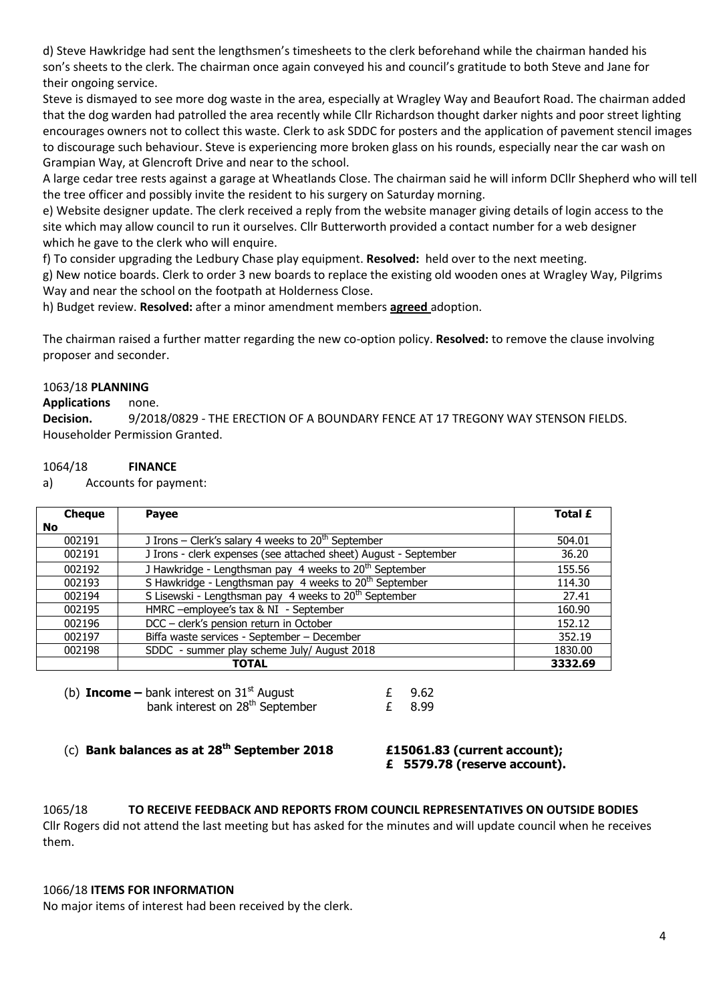d) Steve Hawkridge had sent the lengthsmen's timesheets to the clerk beforehand while the chairman handed his son's sheets to the clerk. The chairman once again conveyed his and council's gratitude to both Steve and Jane for their ongoing service.

Steve is dismayed to see more dog waste in the area, especially at Wragley Way and Beaufort Road. The chairman added that the dog warden had patrolled the area recently while Cllr Richardson thought darker nights and poor street lighting encourages owners not to collect this waste. Clerk to ask SDDC for posters and the application of pavement stencil images to discourage such behaviour. Steve is experiencing more broken glass on his rounds, especially near the car wash on Grampian Way, at Glencroft Drive and near to the school.

A large cedar tree rests against a garage at Wheatlands Close. The chairman said he will inform DCllr Shepherd who will tell the tree officer and possibly invite the resident to his surgery on Saturday morning.

e) Website designer update. The clerk received a reply from the website manager giving details of login access to the site which may allow council to run it ourselves. Cllr Butterworth provided a contact number for a web designer which he gave to the clerk who will enquire.

f) To consider upgrading the Ledbury Chase play equipment. **Resolved:** held over to the next meeting.

g) New notice boards. Clerk to order 3 new boards to replace the existing old wooden ones at Wragley Way, Pilgrims Way and near the school on the footpath at Holderness Close.

h) Budget review. **Resolved:** after a minor amendment members **agreed** adoption.

The chairman raised a further matter regarding the new co-option policy. **Resolved:** to remove the clause involving proposer and seconder.

# 1063/18 **PLANNING**

# **Applications** none.

**Decision.** 9/2018/0829 - THE ERECTION OF A BOUNDARY FENCE AT 17 TREGONY WAY STENSON FIELDS. Householder Permission Granted.

# 1064/18 **FINANCE**

a) Accounts for payment:

| <b>Cheque</b> | <b>Payee</b>                                                       | Total £ |
|---------------|--------------------------------------------------------------------|---------|
| No.           |                                                                    |         |
| 002191        | J Irons – Clerk's salary 4 weeks to $20th$ September               | 504.01  |
| 002191        | J Irons - clerk expenses (see attached sheet) August - September   | 36.20   |
| 002192        | J Hawkridge - Lengthsman pay 4 weeks to 20 <sup>th</sup> September | 155.56  |
| 002193        | S Hawkridge - Lengthsman pay 4 weeks to 20 <sup>th</sup> September | 114.30  |
| 002194        | S Lisewski - Lengthsman pay 4 weeks to 20 <sup>th</sup> September  | 27.41   |
| 002195        | HMRC -employee's tax & NI - September                              | 160.90  |
| 002196        | DCC - clerk's pension return in October                            | 152.12  |
| 002197        | Biffa waste services - September - December                        | 352.19  |
| 002198        | SDDC - summer play scheme July/ August 2018                        | 1830.00 |
|               | <b>TOTAL</b>                                                       | 3332.69 |

| (b) <b>Income</b> – bank interest on $31st$ August | £ 9.62 |
|----------------------------------------------------|--------|
| bank interest on 28 <sup>th</sup> September        | £ 8.99 |

(c) **Bank balances as at 28th September 2018 £15061.83 (current account);** 

**£ 5579.78 (reserve account).**

1065/18 **TO RECEIVE FEEDBACK AND REPORTS FROM COUNCIL REPRESENTATIVES ON OUTSIDE BODIES**  Cllr Rogers did not attend the last meeting but has asked for the minutes and will update council when he receives them.

# 1066/18 **ITEMS FOR INFORMATION**

No major items of interest had been received by the clerk.